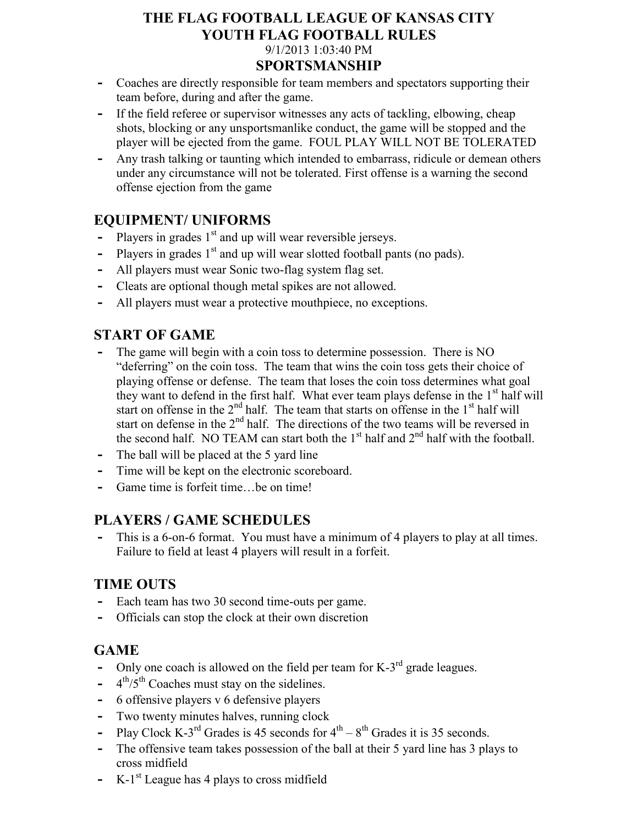# **THE FLAG FOOTBALL LEAGUE OF KANSAS CITY YOUTH FLAG FOOTBALL RULES** 9/1/2013 1:03:40 PM

#### **SPORTSMANSHIP**

- **-** Coaches are directly responsible for team members and spectators supporting their team before, during and after the game.
- **-** If the field referee or supervisor witnesses any acts of tackling, elbowing, cheap shots, blocking or any unsportsmanlike conduct, the game will be stopped and the player will be ejected from the game. FOUL PLAY WILL NOT BE TOLERATED
- **-** Any trash talking or taunting which intended to embarrass, ridicule or demean others under any circumstance will not be tolerated. First offense is a warning the second offense ejection from the game

#### **EQUIPMENT/ UNIFORMS**

- **-** Players in grades 1<sup>st</sup> and up will wear reversible jerseys.
- Players in grades 1<sup>st</sup> and up will wear slotted football pants (no pads).
- **-** All players must wear Sonic two-flag system flag set.
- **-** Cleats are optional though metal spikes are not allowed.
- **-** All players must wear a protective mouthpiece, no exceptions.

#### **START OF GAME**

- **-** The game will begin with a coin toss to determine possession. There is NO "deferring" on the coin toss. The team that wins the coin toss gets their choice of playing offense or defense. The team that loses the coin toss determines what goal they want to defend in the first half. What ever team plays defense in the  $1<sup>st</sup>$  half will start on offense in the  $2<sup>nd</sup>$  half. The team that starts on offense in the  $1<sup>st</sup>$  half will start on defense in the  $2<sup>nd</sup>$  half. The directions of the two teams will be reversed in the second half. NO TEAM can start both the  $1<sup>st</sup>$  half and  $2<sup>nd</sup>$  half with the football.
- **-** The ball will be placed at the 5 yard line
- Time will be kept on the electronic scoreboard.
- **-** Game time is forfeit time…be on time!

### **PLAYERS / GAME SCHEDULES**

**-** This is a 6-on-6 format. You must have a minimum of 4 players to play at all times. Failure to field at least 4 players will result in a forfeit.

### **TIME OUTS**

- **-** Each team has two 30 second time-outs per game.
- **-** Officials can stop the clock at their own discretion

### **GAME**

- Only one coach is allowed on the field per team for K-3<sup>rd</sup> grade leagues.
- **-** 4  $4<sup>th</sup>/5<sup>th</sup> Coaches must stay on the sidelines.$
- **-** 6 offensive players v 6 defensive players
- **-** Two twenty minutes halves, running clock
- Play Clock K-3<sup>rd</sup> Grades is 45 seconds for  $4^{\text{th}} 8^{\text{th}}$  Grades it is 35 seconds.
- **-** The offensive team takes possession of the ball at their 5 yard line has 3 plays to cross midfield
- **-** K-1 st League has 4 plays to cross midfield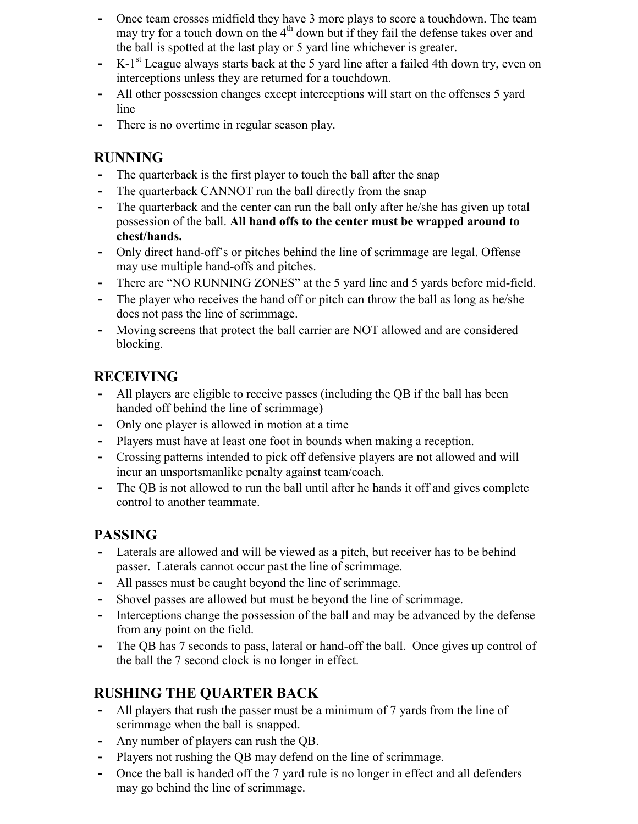- **-** Once team crosses midfield they have 3 more plays to score a touchdown. The team may try for a touch down on the  $4<sup>th</sup>$  down but if they fail the defense takes over and the ball is spotted at the last play or 5 yard line whichever is greater.
- **-** K-1 st League always starts back at the 5 yard line after a failed 4th down try, even on interceptions unless they are returned for a touchdown.
- **-** All other possession changes except interceptions will start on the offenses 5 yard line
- **-** There is no overtime in regular season play.

#### **RUNNING**

- **-** The quarterback is the first player to touch the ball after the snap
- **-** The quarterback CANNOT run the ball directly from the snap
- **-** The quarterback and the center can run the ball only after he/she has given up total possession of the ball. **All hand offs to the center must be wrapped around to chest/hands.**
- **-** Only direct hand-off's or pitches behind the line of scrimmage are legal. Offense may use multiple hand-offs and pitches.
- **-** There are "NO RUNNING ZONES" at the 5 yard line and 5 yards before mid-field.
- **-** The player who receives the hand off or pitch can throw the ball as long as he/she does not pass the line of scrimmage.
- **-** Moving screens that protect the ball carrier are NOT allowed and are considered blocking.

## **RECEIVING**

- **-** All players are eligible to receive passes (including the QB if the ball has been handed off behind the line of scrimmage)
- **-** Only one player is allowed in motion at a time
- **-** Players must have at least one foot in bounds when making a reception.
- **-** Crossing patterns intended to pick off defensive players are not allowed and will incur an unsportsmanlike penalty against team/coach.
- **-** The QB is not allowed to run the ball until after he hands it off and gives complete control to another teammate.

### **PASSING**

- Laterals are allowed and will be viewed as a pitch, but receiver has to be behind passer. Laterals cannot occur past the line of scrimmage.
- **-** All passes must be caught beyond the line of scrimmage.
- **-** Shovel passes are allowed but must be beyond the line of scrimmage.
- **-** Interceptions change the possession of the ball and may be advanced by the defense from any point on the field.
- **-** The QB has 7 seconds to pass, lateral or hand-off the ball. Once gives up control of the ball the 7 second clock is no longer in effect.

### **RUSHING THE QUARTER BACK**

- **-** All players that rush the passer must be a minimum of 7 yards from the line of scrimmage when the ball is snapped.
- **-** Any number of players can rush the QB.
- **-** Players not rushing the QB may defend on the line of scrimmage.
- **-** Once the ball is handed off the 7 yard rule is no longer in effect and all defenders may go behind the line of scrimmage.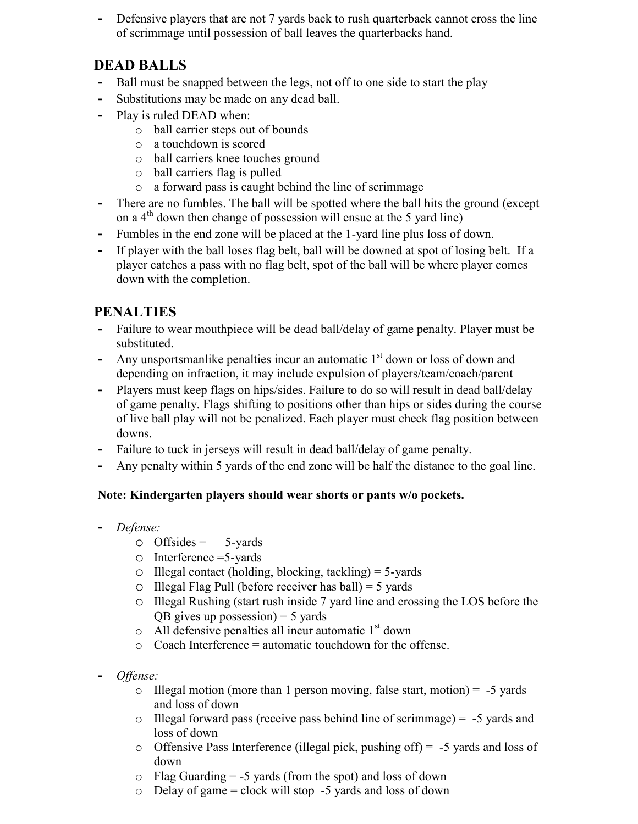**-** Defensive players that are not 7 yards back to rush quarterback cannot cross the line of scrimmage until possession of ball leaves the quarterbacks hand.

#### **DEAD BALLS**

- **-** Ball must be snapped between the legs, not off to one side to start the play
- **-** Substitutions may be made on any dead ball.
- **-** Play is ruled DEAD when:
	- o ball carrier steps out of bounds
	- o a touchdown is scored
	- o ball carriers knee touches ground
	- o ball carriers flag is pulled
	- o a forward pass is caught behind the line of scrimmage
- **-** There are no fumbles. The ball will be spotted where the ball hits the ground (except on a 4th down then change of possession will ensue at the 5 yard line)
- **-** Fumbles in the end zone will be placed at the 1-yard line plus loss of down.
- **-** If player with the ball loses flag belt, ball will be downed at spot of losing belt. If a player catches a pass with no flag belt, spot of the ball will be where player comes down with the completion.

#### **PENALTIES**

- **-** Failure to wear mouthpiece will be dead ball/delay of game penalty. Player must be substituted.
- Any unsportsmanlike penalties incur an automatic 1<sup>st</sup> down or loss of down and depending on infraction, it may include expulsion of players/team/coach/parent
- **-** Players must keep flags on hips/sides. Failure to do so will result in dead ball/delay of game penalty. Flags shifting to positions other than hips or sides during the course of live ball play will not be penalized. Each player must check flag position between downs.
- **-** Failure to tuck in jerseys will result in dead ball/delay of game penalty.
- **-** Any penalty within 5 yards of the end zone will be half the distance to the goal line.

#### **Note: Kindergarten players should wear shorts or pants w/o pockets.**

- **-** *Defense:*
	- $\circ$  Offsides = 5-yards
	- o Interference =5-yards
	- $\circ$  Illegal contact (holding, blocking, tackling) = 5-yards
	- $\circ$  Illegal Flag Pull (before receiver has ball) = 5 yards
	- o Illegal Rushing (start rush inside 7 yard line and crossing the LOS before the  $\overline{OB}$  gives up possession) = 5 yards
	- $\circ$  All defensive penalties all incur automatic 1<sup>st</sup> down
	- o Coach Interference = automatic touchdown for the offense.
- **-** *Offense:*
	- $\circ$  Illegal motion (more than 1 person moving, false start, motion) = -5 yards and loss of down
	- $\circ$  Illegal forward pass (receive pass behind line of scrimmage) = -5 yards and loss of down
	- o Offensive Pass Interference (illegal pick, pushing off) = -5 yards and loss of down
	- $\circ$  Flag Guarding = -5 yards (from the spot) and loss of down
	- $\circ$  Delay of game = clock will stop -5 yards and loss of down